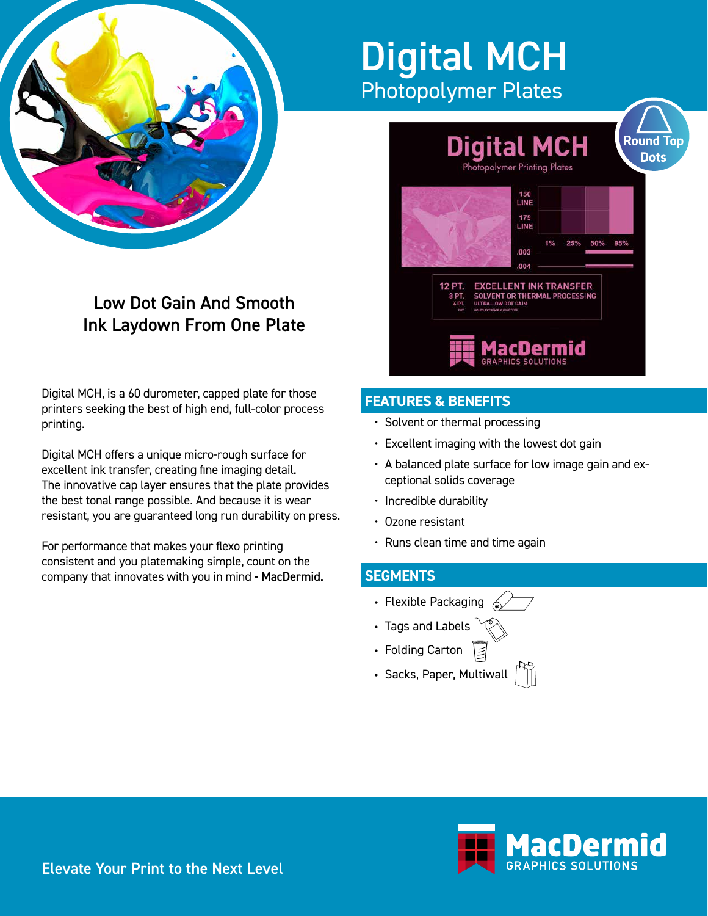

# Digital MCH Photopolymer Plates



# **FEATURES & BENEFITS**

- Solvent or thermal processing
- Excellent imaging with the lowest dot gain
- A balanced plate surface for low image gain and exceptional solids coverage
- Incredible durability
- Ozone resistant
- $\cdot$  Runs clean time and time again

## **SEGMENTS**

- Flexible Packaging
- Tags and Labels
- Folding Carton
- Sacks, Paper, Multiwall



Low Dot Gain And Smooth

Ink Laydown From One Plate

Digital MCH offers a unique micro-rough surface for excellent ink transfer, creating fine imaging detail. The innovative cap layer ensures that the plate provides the best tonal range possible. And because it is wear resistant, you are guaranteed long run durability on press.

For performance that makes your flexo printing consistent and you platemaking simple, count on the company that innovates with you in mind - MacDermid.

> acDermid m۳ **GRAPHICS SOLUTIONS**